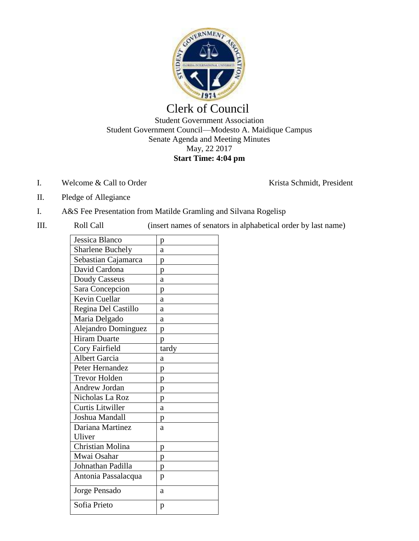

## Clerk of Council Student Government Association Student Government Council—Modesto A. Maidique Campus Senate Agenda and Meeting Minutes May, 22 2017 **Start Time: 4:04 pm**

I. Welcome & Call to Order Krista Schmidt, President

- II. Pledge of Allegiance
- I. A&S Fee Presentation from Matilde Gramling and Silvana Rogelisp
- 

III. Roll Call (insert names of senators in alphabetical order by last name)

| p     |
|-------|
| a     |
| р     |
| p     |
| a     |
| p     |
| a     |
| a     |
| a     |
| p     |
| p     |
| tardy |
| a     |
| p     |
| p     |
| p     |
| p     |
| a     |
| p     |
| a     |
|       |
| p     |
| p     |
| p     |
| p     |
| a     |
| p     |
|       |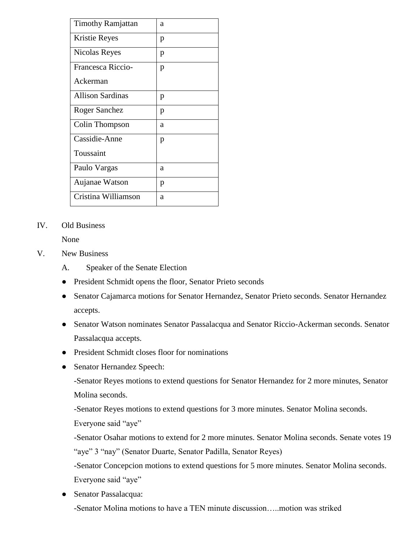| <b>Timothy Ramjattan</b> | a |
|--------------------------|---|
| <b>Kristie Reyes</b>     | p |
| Nicolas Reyes            | p |
| Francesca Riccio-        | p |
| Ackerman                 |   |
| <b>Allison Sardinas</b>  | р |
| Roger Sanchez            | p |
| Colin Thompson           | a |
| Cassidie-Anne            | p |
| Toussaint                |   |
| Paulo Vargas             | a |
| Aujanae Watson           | p |
| Cristina Williamson      | a |

## IV. Old Business

None

- V. New Business
	- A. Speaker of the Senate Election
	- President Schmidt opens the floor, Senator Prieto seconds
	- Senator Cajamarca motions for Senator Hernandez, Senator Prieto seconds. Senator Hernandez accepts.
	- Senator Watson nominates Senator Passalacqua and Senator Riccio-Ackerman seconds. Senator Passalacqua accepts.
	- President Schmidt closes floor for nominations
	- Senator Hernandez Speech:

-Senator Reyes motions to extend questions for Senator Hernandez for 2 more minutes, Senator Molina seconds.

-Senator Reyes motions to extend questions for 3 more minutes. Senator Molina seconds. Everyone said "aye"

-Senator Osahar motions to extend for 2 more minutes. Senator Molina seconds. Senate votes 19 "aye" 3 "nay" (Senator Duarte, Senator Padilla, Senator Reyes)

-Senator Concepcion motions to extend questions for 5 more minutes. Senator Molina seconds. Everyone said "aye"

● Senator Passalacqua:

-Senator Molina motions to have a TEN minute discussion…..motion was striked